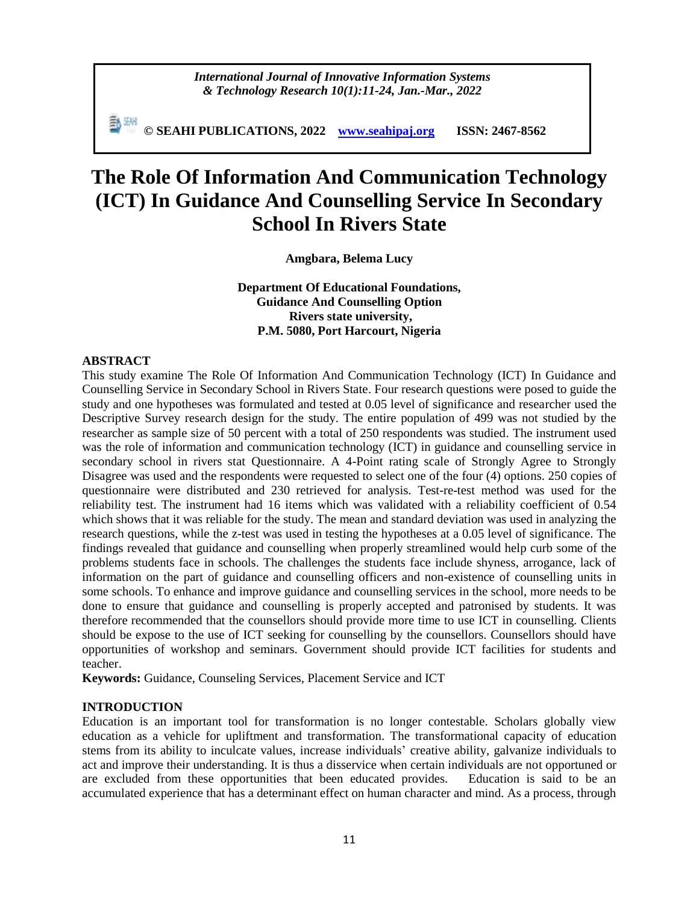*International Journal of Innovative Information Systems & Technology Research 10(1):11-24, Jan.-Mar., 2022*

**© SEAHI PUBLICATIONS, 2022 [www.seahipaj.org](http://www.seahipaj.org/) ISSN: 2467-8562**

# **The Role Of Information And Communication Technology (ICT) In Guidance And Counselling Service In Secondary School In Rivers State**

**Amgbara, Belema Lucy**

**Department Of Educational Foundations, Guidance And Counselling Option Rivers state university, P.M. 5080, Port Harcourt, Nigeria**

#### **ABSTRACT**

This study examine The Role Of Information And Communication Technology (ICT) In Guidance and Counselling Service in Secondary School in Rivers State. Four research questions were posed to guide the study and one hypotheses was formulated and tested at 0.05 level of significance and researcher used the Descriptive Survey research design for the study. The entire population of 499 was not studied by the researcher as sample size of 50 percent with a total of 250 respondents was studied. The instrument used was the role of information and communication technology (ICT) in guidance and counselling service in secondary school in rivers stat Questionnaire. A 4-Point rating scale of Strongly Agree to Strongly Disagree was used and the respondents were requested to select one of the four (4) options. 250 copies of questionnaire were distributed and 230 retrieved for analysis. Test-re-test method was used for the reliability test. The instrument had 16 items which was validated with a reliability coefficient of 0.54 which shows that it was reliable for the study. The mean and standard deviation was used in analyzing the research questions, while the z-test was used in testing the hypotheses at a 0.05 level of significance. The findings revealed that guidance and counselling when properly streamlined would help curb some of the problems students face in schools. The challenges the students face include shyness, arrogance, lack of information on the part of guidance and counselling officers and non-existence of counselling units in some schools. To enhance and improve guidance and counselling services in the school, more needs to be done to ensure that guidance and counselling is properly accepted and patronised by students. It was therefore recommended that the counsellors should provide more time to use ICT in counselling. Clients should be expose to the use of ICT seeking for counselling by the counsellors. Counsellors should have opportunities of workshop and seminars. Government should provide ICT facilities for students and teacher.

**Keywords:** Guidance, Counseling Services, Placement Service and ICT

#### **INTRODUCTION**

Education is an important tool for transformation is no longer contestable. Scholars globally view education as a vehicle for upliftment and transformation. The transformational capacity of education stems from its ability to inculcate values, increase individuals' creative ability, galvanize individuals to act and improve their understanding. It is thus a disservice when certain individuals are not opportuned or are excluded from these opportunities that been educated provides. Education is said to be an accumulated experience that has a determinant effect on human character and mind. As a process, through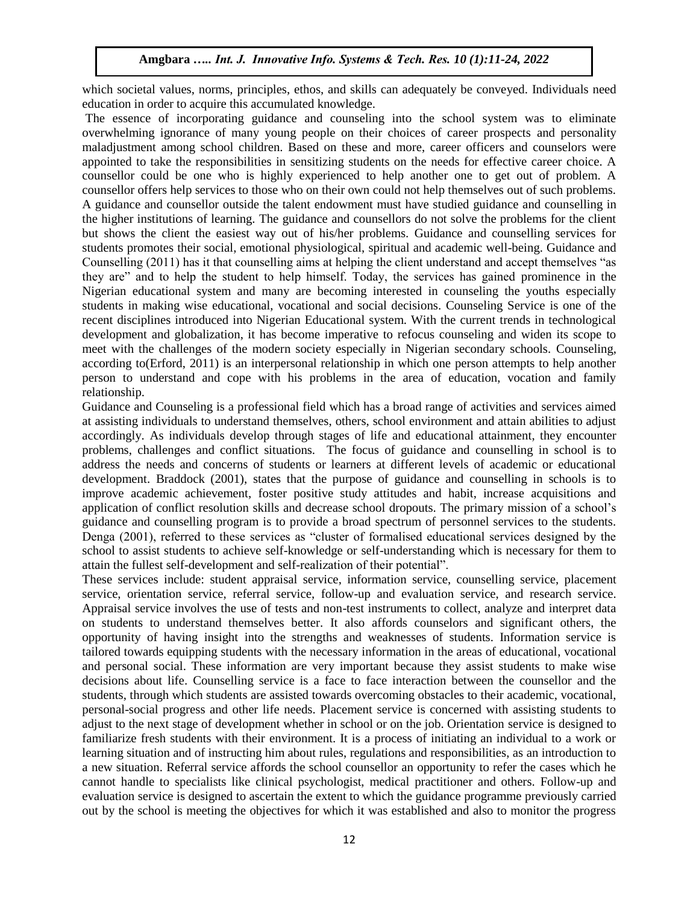which societal values, norms, principles, ethos, and skills can adequately be conveyed. Individuals need education in order to acquire this accumulated knowledge.

The essence of incorporating guidance and counseling into the school system was to eliminate overwhelming ignorance of many young people on their choices of career prospects and personality maladjustment among school children. Based on these and more, career officers and counselors were appointed to take the responsibilities in sensitizing students on the needs for effective career choice. A counsellor could be one who is highly experienced to help another one to get out of problem. A counsellor offers help services to those who on their own could not help themselves out of such problems. A guidance and counsellor outside the talent endowment must have studied guidance and counselling in the higher institutions of learning. The guidance and counsellors do not solve the problems for the client but shows the client the easiest way out of his/her problems. Guidance and counselling services for students promotes their social, emotional physiological, spiritual and academic well-being. Guidance and Counselling (2011) has it that counselling aims at helping the client understand and accept themselves "as they are" and to help the student to help himself. Today, the services has gained prominence in the Nigerian educational system and many are becoming interested in counseling the youths especially students in making wise educational, vocational and social decisions. Counseling Service is one of the recent disciplines introduced into Nigerian Educational system. With the current trends in technological development and globalization, it has become imperative to refocus counseling and widen its scope to meet with the challenges of the modern society especially in Nigerian secondary schools. Counseling, according to(Erford, 2011) is an interpersonal relationship in which one person attempts to help another person to understand and cope with his problems in the area of education, vocation and family relationship.

Guidance and Counseling is a professional field which has a broad range of activities and services aimed at assisting individuals to understand themselves, others, school environment and attain abilities to adjust accordingly. As individuals develop through stages of life and educational attainment, they encounter problems, challenges and conflict situations. The focus of guidance and counselling in school is to address the needs and concerns of students or learners at different levels of academic or educational development. Braddock (2001), states that the purpose of guidance and counselling in schools is to improve academic achievement, foster positive study attitudes and habit, increase acquisitions and application of conflict resolution skills and decrease school dropouts. The primary mission of a school's guidance and counselling program is to provide a broad spectrum of personnel services to the students. Denga (2001), referred to these services as "cluster of formalised educational services designed by the school to assist students to achieve self-knowledge or self-understanding which is necessary for them to attain the fullest self-development and self-realization of their potential".

These services include: student appraisal service, information service, counselling service, placement service, orientation service, referral service, follow-up and evaluation service, and research service. Appraisal service involves the use of tests and non-test instruments to collect, analyze and interpret data on students to understand themselves better. It also affords counselors and significant others, the opportunity of having insight into the strengths and weaknesses of students. Information service is tailored towards equipping students with the necessary information in the areas of educational, vocational and personal social. These information are very important because they assist students to make wise decisions about life. Counselling service is a face to face interaction between the counsellor and the students, through which students are assisted towards overcoming obstacles to their academic, vocational, personal-social progress and other life needs. Placement service is concerned with assisting students to adjust to the next stage of development whether in school or on the job. Orientation service is designed to familiarize fresh students with their environment. It is a process of initiating an individual to a work or learning situation and of instructing him about rules, regulations and responsibilities, as an introduction to a new situation. Referral service affords the school counsellor an opportunity to refer the cases which he cannot handle to specialists like clinical psychologist, medical practitioner and others. Follow-up and evaluation service is designed to ascertain the extent to which the guidance programme previously carried out by the school is meeting the objectives for which it was established and also to monitor the progress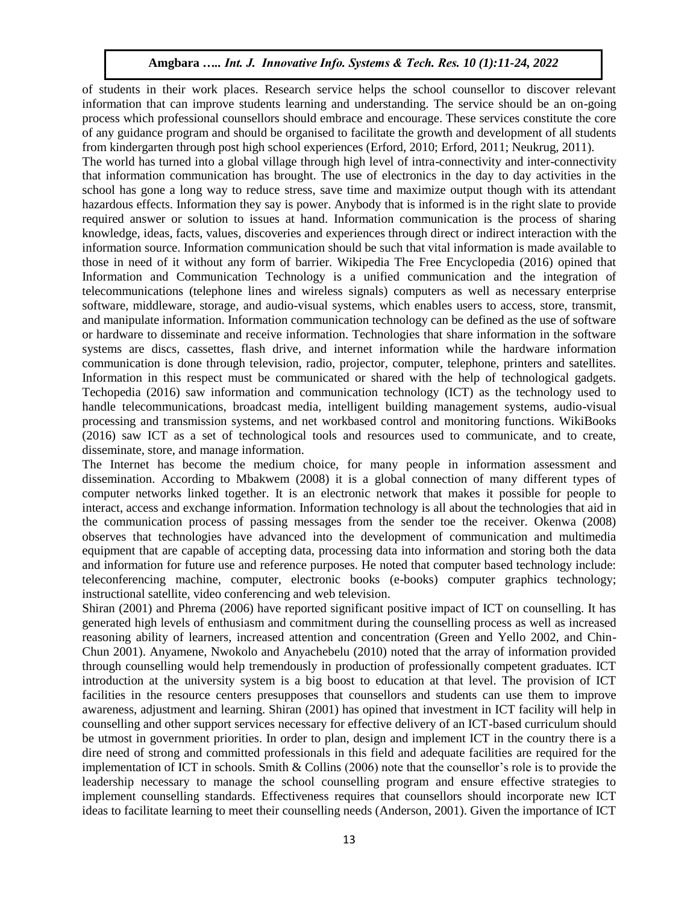of students in their work places. Research service helps the school counsellor to discover relevant information that can improve students learning and understanding. The service should be an on-going process which professional counsellors should embrace and encourage. These services constitute the core of any guidance program and should be organised to facilitate the growth and development of all students from kindergarten through post high school experiences (Erford, 2010; Erford, 2011; Neukrug, 2011).

The world has turned into a global village through high level of intra-connectivity and inter-connectivity that information communication has brought. The use of electronics in the day to day activities in the school has gone a long way to reduce stress, save time and maximize output though with its attendant hazardous effects. Information they say is power. Anybody that is informed is in the right slate to provide required answer or solution to issues at hand. Information communication is the process of sharing knowledge, ideas, facts, values, discoveries and experiences through direct or indirect interaction with the information source. Information communication should be such that vital information is made available to those in need of it without any form of barrier. Wikipedia The Free Encyclopedia (2016) opined that Information and Communication Technology is a unified communication and the integration of telecommunications (telephone lines and wireless signals) computers as well as necessary enterprise software, middleware, storage, and audio-visual systems, which enables users to access, store, transmit, and manipulate information. Information communication technology can be defined as the use of software or hardware to disseminate and receive information. Technologies that share information in the software systems are discs, cassettes, flash drive, and internet information while the hardware information communication is done through television, radio, projector, computer, telephone, printers and satellites. Information in this respect must be communicated or shared with the help of technological gadgets. Techopedia (2016) saw information and communication technology (ICT) as the technology used to handle telecommunications, broadcast media, intelligent building management systems, audio-visual processing and transmission systems, and net workbased control and monitoring functions. WikiBooks (2016) saw ICT as a set of technological tools and resources used to communicate, and to create, disseminate, store, and manage information.

The Internet has become the medium choice, for many people in information assessment and dissemination. According to Mbakwem (2008) it is a global connection of many different types of computer networks linked together. It is an electronic network that makes it possible for people to interact, access and exchange information. Information technology is all about the technologies that aid in the communication process of passing messages from the sender toe the receiver. Okenwa (2008) observes that technologies have advanced into the development of communication and multimedia equipment that are capable of accepting data, processing data into information and storing both the data and information for future use and reference purposes. He noted that computer based technology include: teleconferencing machine, computer, electronic books (e-books) computer graphics technology; instructional satellite, video conferencing and web television.

Shiran (2001) and Phrema (2006) have reported significant positive impact of ICT on counselling. It has generated high levels of enthusiasm and commitment during the counselling process as well as increased reasoning ability of learners, increased attention and concentration (Green and Yello 2002, and Chin-Chun 2001). Anyamene, Nwokolo and Anyachebelu (2010) noted that the array of information provided through counselling would help tremendously in production of professionally competent graduates. ICT introduction at the university system is a big boost to education at that level. The provision of ICT facilities in the resource centers presupposes that counsellors and students can use them to improve awareness, adjustment and learning. Shiran (2001) has opined that investment in ICT facility will help in counselling and other support services necessary for effective delivery of an ICT-based curriculum should be utmost in government priorities. In order to plan, design and implement ICT in the country there is a dire need of strong and committed professionals in this field and adequate facilities are required for the implementation of ICT in schools. Smith & Collins (2006) note that the counsellor's role is to provide the leadership necessary to manage the school counselling program and ensure effective strategies to implement counselling standards. Effectiveness requires that counsellors should incorporate new ICT ideas to facilitate learning to meet their counselling needs (Anderson, 2001). Given the importance of ICT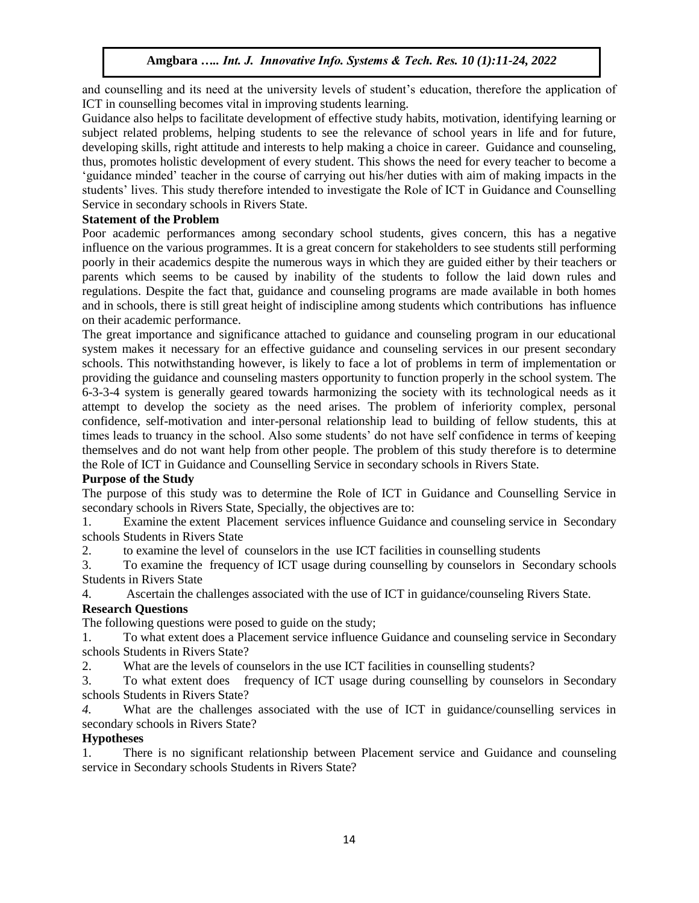and counselling and its need at the university levels of student's education, therefore the application of ICT in counselling becomes vital in improving students learning.

Guidance also helps to facilitate development of effective study habits, motivation, identifying learning or subject related problems, helping students to see the relevance of school years in life and for future, developing skills, right attitude and interests to help making a choice in career. Guidance and counseling, thus, promotes holistic development of every student. This shows the need for every teacher to become a 'guidance minded' teacher in the course of carrying out his/her duties with aim of making impacts in the students' lives. This study therefore intended to investigate the Role of ICT in Guidance and Counselling Service in secondary schools in Rivers State.

## **Statement of the Problem**

Poor academic performances among secondary school students, gives concern, this has a negative influence on the various programmes. It is a great concern for stakeholders to see students still performing poorly in their academics despite the numerous ways in which they are guided either by their teachers or parents which seems to be caused by inability of the students to follow the laid down rules and regulations. Despite the fact that, guidance and counseling programs are made available in both homes and in schools, there is still great height of indiscipline among students which contributions has influence on their academic performance.

The great importance and significance attached to guidance and counseling program in our educational system makes it necessary for an effective guidance and counseling services in our present secondary schools. This notwithstanding however, is likely to face a lot of problems in term of implementation or providing the guidance and counseling masters opportunity to function properly in the school system. The 6-3-3-4 system is generally geared towards harmonizing the society with its technological needs as it attempt to develop the society as the need arises. The problem of inferiority complex, personal confidence, self-motivation and inter-personal relationship lead to building of fellow students, this at times leads to truancy in the school. Also some students' do not have self confidence in terms of keeping themselves and do not want help from other people. The problem of this study therefore is to determine the Role of ICT in Guidance and Counselling Service in secondary schools in Rivers State.

## **Purpose of the Study**

The purpose of this study was to determine the Role of ICT in Guidance and Counselling Service in secondary schools in Rivers State, Specially, the objectives are to:

1. Examine the extent Placement services influence Guidance and counseling service in Secondary schools Students in Rivers State

2. to examine the level of counselors in the use ICT facilities in counselling students

3. To examine the frequency of ICT usage during counselling by counselors in Secondary schools Students in Rivers State

4. Ascertain the challenges associated with the use of ICT in guidance/counseling Rivers State.

# **Research Questions**

The following questions were posed to guide on the study;

1. To what extent does a Placement service influence Guidance and counseling service in Secondary schools Students in Rivers State?

2. What are the levels of counselors in the use ICT facilities in counselling students?

3. To what extent does frequency of ICT usage during counselling by counselors in Secondary schools Students in Rivers State?

*4.* What are the challenges associated with the use of ICT in guidance/counselling services in secondary schools in Rivers State?

## **Hypotheses**

1. There is no significant relationship between Placement service and Guidance and counseling service in Secondary schools Students in Rivers State?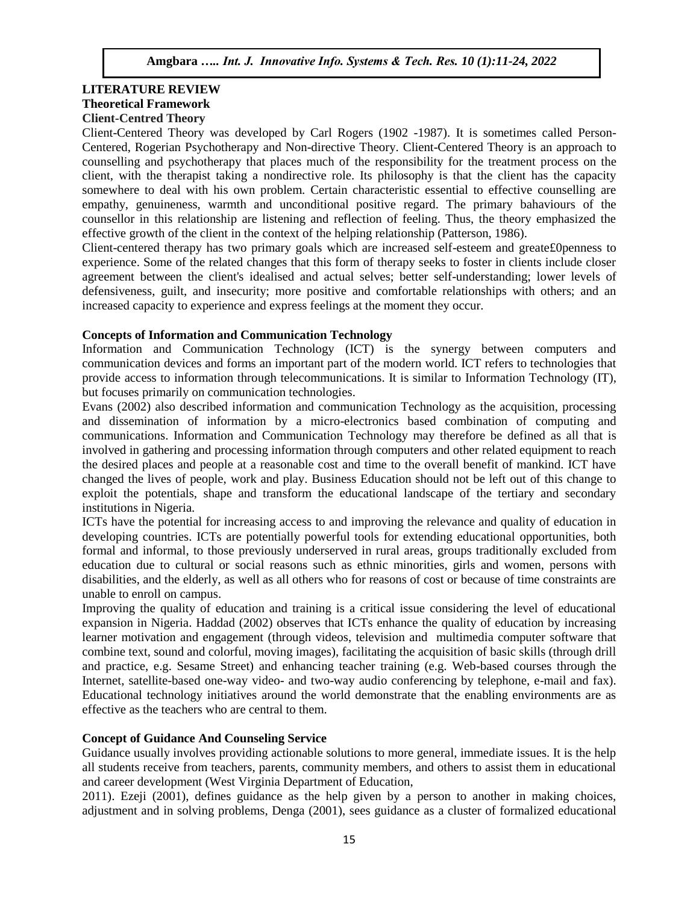# **LITERATURE REVIEW Theoretical Framework Client-Centred Theory**

Client-Centered Theory was developed by Carl Rogers (1902 -1987). It is sometimes called Person-Centered, Rogerian Psychotherapy and Non-directive Theory. Client-Centered Theory is an approach to counselling and psychotherapy that places much of the responsibility for the treatment process on the client, with the therapist taking a nondirective role. Its philosophy is that the client has the capacity somewhere to deal with his own problem. Certain characteristic essential to effective counselling are empathy, genuineness, warmth and unconditional positive regard. The primary bahaviours of the counsellor in this relationship are listening and reflection of feeling. Thus, the theory emphasized the effective growth of the client in the context of the helping relationship (Patterson, 1986).

Client-centered therapy has two primary goals which are increased self-esteem and greate£0penness to experience. Some of the related changes that this form of therapy seeks to foster in clients include closer agreement between the client's idealised and actual selves; better self-understanding; lower levels of defensiveness, guilt, and insecurity; more positive and comfortable relationships with others; and an increased capacity to experience and express feelings at the moment they occur.

# **Concepts of Information and Communication Technology**

Information and Communication Technology (ICT) is the synergy between computers and communication devices and forms an important part of the modern world. ICT refers to technologies that provide access to information through [telecommunications.](https://techterms.com/definition/telecommunications) It is similar to [Information Technology](https://techterms.com/definition/it) (IT), but focuses primarily on communication technologies.

Evans (2002) also described information and communication Technology as the acquisition, processing and dissemination of information by a micro-electronics based combination of computing and communications. Information and Communication Technology may therefore be defined as all that is involved in gathering and processing information through computers and other related equipment to reach the desired places and people at a reasonable cost and time to the overall benefit of mankind. ICT have changed the lives of people, work and play. Business Education should not be left out of this change to exploit the potentials, shape and transform the educational landscape of the tertiary and secondary institutions in Nigeria.

ICTs have the potential for increasing access to and improving the relevance and quality of education in developing countries. ICTs are potentially powerful tools for extending educational opportunities, both formal and informal, to those previously underserved in rural areas, groups traditionally excluded from education due to cultural or social reasons such as ethnic minorities, girls and women, persons with disabilities, and the elderly, as well as all others who for reasons of cost or because of time constraints are unable to enroll on campus.

Improving the quality of education and training is a critical issue considering the level of educational expansion in Nigeria. Haddad (2002) observes that ICTs enhance the quality of education by increasing learner motivation and engagement (through videos, television and multimedia computer software that combine text, sound and colorful, moving images), facilitating the acquisition of basic skills (through drill and practice, e.g. Sesame Street) and enhancing teacher training (e.g. Web-based courses through the Internet, satellite-based one-way video- and two-way audio conferencing by telephone, e-mail and fax). Educational technology initiatives around the world demonstrate that the enabling environments are as effective as the teachers who are central to them.

# **Concept of Guidance And Counseling Service**

Guidance usually involves providing actionable solutions to more general, immediate issues. It is the help all students receive from teachers, parents, community members, and others to assist them in educational and career development (West Virginia Department of Education,

2011). Ezeji (2001), defines guidance as the help given by a person to another in making choices, adjustment and in solving problems, Denga (2001), sees guidance as a cluster of formalized educational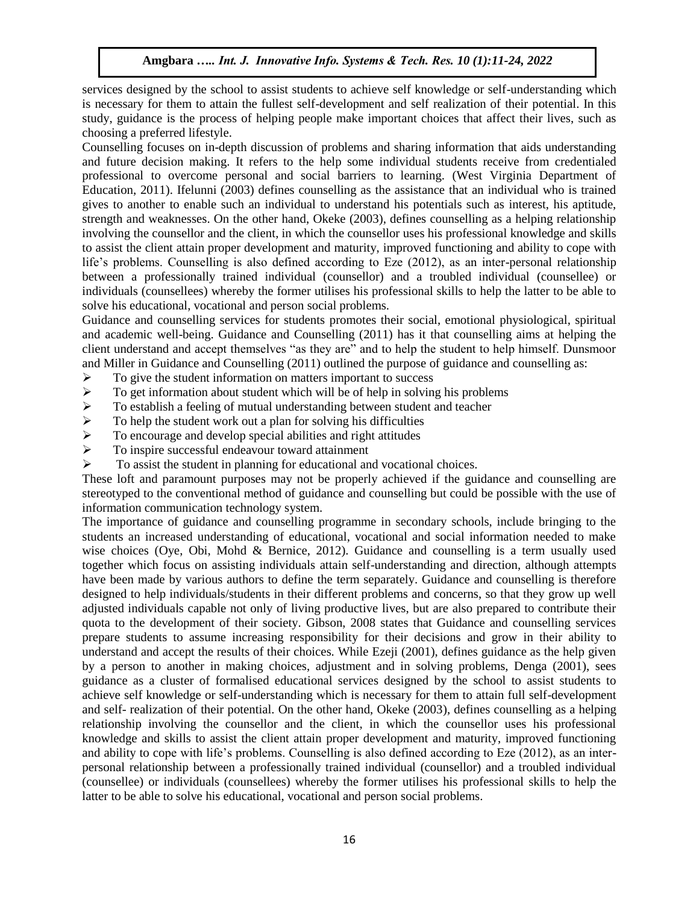services designed by the school to assist students to achieve self knowledge or self-understanding which is necessary for them to attain the fullest self-development and self realization of their potential. In this study, guidance is the process of helping people make important choices that affect their lives, such as choosing a preferred lifestyle.

Counselling focuses on in-depth discussion of problems and sharing information that aids understanding and future decision making. It refers to the help some individual students receive from credentialed professional to overcome personal and social barriers to learning. (West Virginia Department of Education, 2011). Ifelunni (2003) defines counselling as the assistance that an individual who is trained gives to another to enable such an individual to understand his potentials such as interest, his aptitude, strength and weaknesses. On the other hand, Okeke (2003), defines counselling as a helping relationship involving the counsellor and the client, in which the counsellor uses his professional knowledge and skills to assist the client attain proper development and maturity, improved functioning and ability to cope with life's problems. Counselling is also defined according to Eze (2012), as an inter-personal relationship between a professionally trained individual (counsellor) and a troubled individual (counsellee) or individuals (counsellees) whereby the former utilises his professional skills to help the latter to be able to solve his educational, vocational and person social problems.

Guidance and counselling services for students promotes their social, emotional physiological, spiritual and academic well-being. Guidance and Counselling (2011) has it that counselling aims at helping the client understand and accept themselves "as they are" and to help the student to help himself. Dunsmoor and Miller in Guidance and Counselling (2011) outlined the purpose of guidance and counselling as:

- $\triangleright$  To give the student information on matters important to success
- $\triangleright$  To get information about student which will be of help in solving his problems
- $\triangleright$  To establish a feeling of mutual understanding between student and teacher
- $\triangleright$  To help the student work out a plan for solving his difficulties
- $\triangleright$  To encourage and develop special abilities and right attitudes
- $\triangleright$  To inspire successful endeavour toward attainment
- $\triangleright$  To assist the student in planning for educational and vocational choices.

These loft and paramount purposes may not be properly achieved if the guidance and counselling are stereotyped to the conventional method of guidance and counselling but could be possible with the use of information communication technology system.

The importance of guidance and counselling programme in secondary schools, include bringing to the students an increased understanding of educational, vocational and social information needed to make wise choices (Oye, Obi, Mohd & Bernice, 2012). Guidance and counselling is a term usually used together which focus on assisting individuals attain self-understanding and direction, although attempts have been made by various authors to define the term separately. Guidance and counselling is therefore designed to help individuals/students in their different problems and concerns, so that they grow up well adjusted individuals capable not only of living productive lives, but are also prepared to contribute their quota to the development of their society. Gibson, 2008 states that Guidance and counselling services prepare students to assume increasing responsibility for their decisions and grow in their ability to understand and accept the results of their choices. While Ezeji (2001), defines guidance as the help given by a person to another in making choices, adjustment and in solving problems, Denga (2001), sees guidance as a cluster of formalised educational services designed by the school to assist students to achieve self knowledge or self-understanding which is necessary for them to attain full self-development and self- realization of their potential. On the other hand, Okeke (2003), defines counselling as a helping relationship involving the counsellor and the client, in which the counsellor uses his professional knowledge and skills to assist the client attain proper development and maturity, improved functioning and ability to cope with life's problems. Counselling is also defined according to Eze (2012), as an interpersonal relationship between a professionally trained individual (counsellor) and a troubled individual (counsellee) or individuals (counsellees) whereby the former utilises his professional skills to help the latter to be able to solve his educational, vocational and person social problems.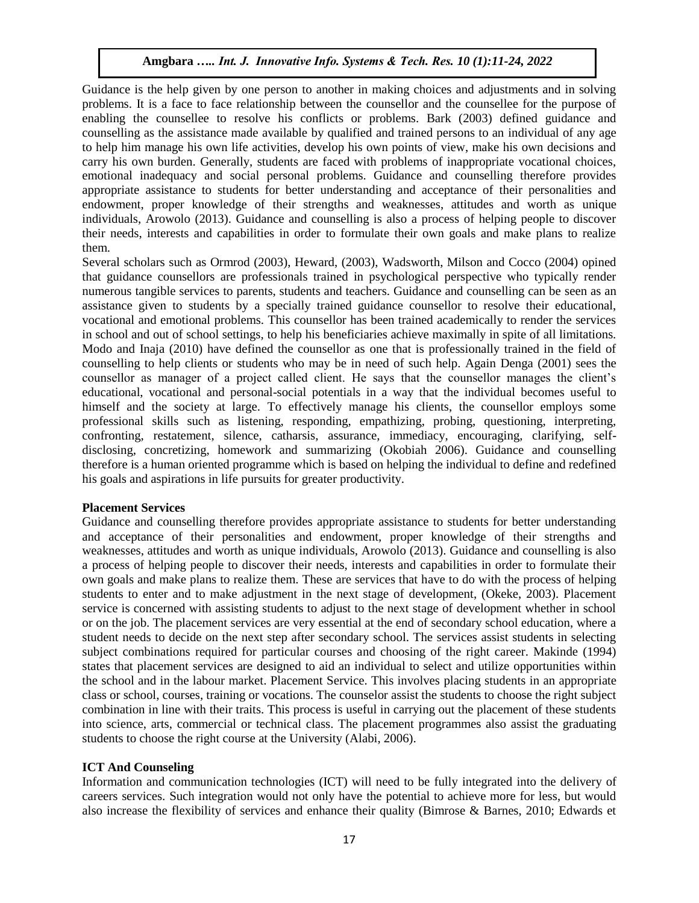Guidance is the help given by one person to another in making choices and adjustments and in solving problems. It is a face to face relationship between the counsellor and the counsellee for the purpose of enabling the counsellee to resolve his conflicts or problems. Bark (2003) defined guidance and counselling as the assistance made available by qualified and trained persons to an individual of any age to help him manage his own life activities, develop his own points of view, make his own decisions and carry his own burden. Generally, students are faced with problems of inappropriate vocational choices, emotional inadequacy and social personal problems. Guidance and counselling therefore provides appropriate assistance to students for better understanding and acceptance of their personalities and endowment, proper knowledge of their strengths and weaknesses, attitudes and worth as unique individuals, Arowolo (2013). Guidance and counselling is also a process of helping people to discover their needs, interests and capabilities in order to formulate their own goals and make plans to realize them.

Several scholars such as Ormrod (2003), Heward, (2003), Wadsworth, Milson and Cocco (2004) opined that guidance counsellors are professionals trained in psychological perspective who typically render numerous tangible services to parents, students and teachers. Guidance and counselling can be seen as an assistance given to students by a specially trained guidance counsellor to resolve their educational, vocational and emotional problems. This counsellor has been trained academically to render the services in school and out of school settings, to help his beneficiaries achieve maximally in spite of all limitations. Modo and Inaja (2010) have defined the counsellor as one that is professionally trained in the field of counselling to help clients or students who may be in need of such help. Again Denga (2001) sees the counsellor as manager of a project called client. He says that the counsellor manages the client's educational, vocational and personal-social potentials in a way that the individual becomes useful to himself and the society at large. To effectively manage his clients, the counsellor employs some professional skills such as listening, responding, empathizing, probing, questioning, interpreting, confronting, restatement, silence, catharsis, assurance, immediacy, encouraging, clarifying, selfdisclosing, concretizing, homework and summarizing (Okobiah 2006). Guidance and counselling therefore is a human oriented programme which is based on helping the individual to define and redefined his goals and aspirations in life pursuits for greater productivity.

#### **Placement Services**

Guidance and counselling therefore provides appropriate assistance to students for better understanding and acceptance of their personalities and endowment, proper knowledge of their strengths and weaknesses, attitudes and worth as unique individuals, Arowolo (2013). Guidance and counselling is also a process of helping people to discover their needs, interests and capabilities in order to formulate their own goals and make plans to realize them. These are services that have to do with the process of helping students to enter and to make adjustment in the next stage of development, (Okeke, 2003). Placement service is concerned with assisting students to adjust to the next stage of development whether in school or on the job. The placement services are very essential at the end of secondary school education, where a student needs to decide on the next step after secondary school. The services assist students in selecting subject combinations required for particular courses and choosing of the right career. Makinde (1994) states that placement services are designed to aid an individual to select and utilize opportunities within the school and in the labour market. Placement Service. This involves placing students in an appropriate class or school, courses, training or vocations. The counselor assist the students to choose the right subject combination in line with their traits. This process is useful in carrying out the placement of these students into science, arts, commercial or technical class. The placement programmes also assist the graduating students to choose the right course at the University (Alabi, 2006).

## **ICT And Counseling**

Information and communication technologies (ICT) will need to be fully integrated into the delivery of careers services. Such integration would not only have the potential to achieve more for less, but would also increase the flexibility of services and enhance their quality (Bimrose & Barnes, 2010; Edwards et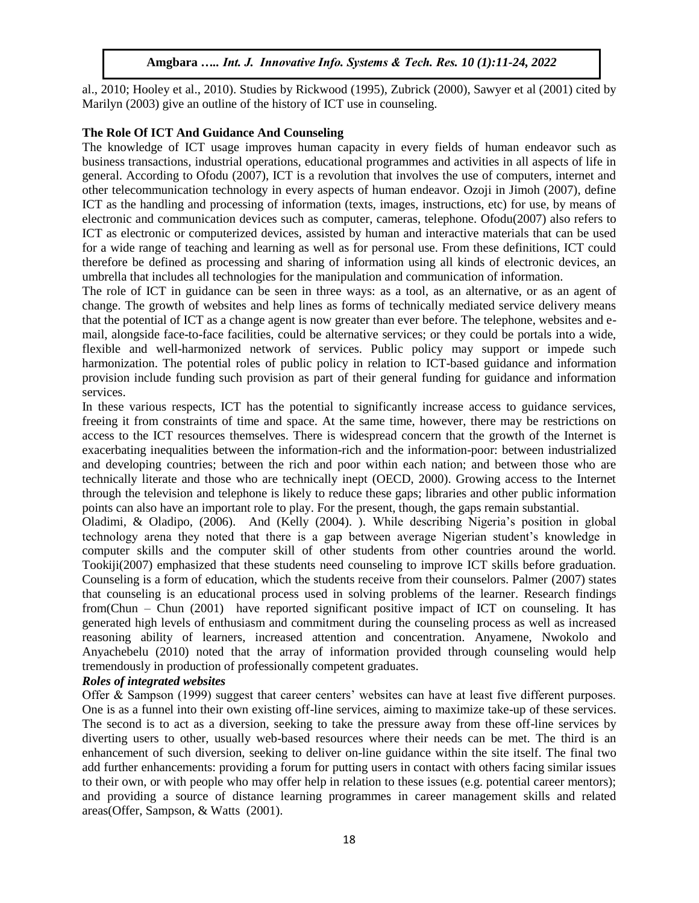al., 2010; Hooley et al., 2010). Studies by Rickwood (1995), Zubrick (2000), Sawyer et al (2001) cited by Marilyn (2003) give an outline of the history of ICT use in counseling.

## **The Role Of ICT And Guidance And Counseling**

The knowledge of ICT usage improves human capacity in every fields of human endeavor such as business transactions, industrial operations, educational programmes and activities in all aspects of life in general. According to Ofodu (2007), ICT is a revolution that involves the use of computers, internet and other telecommunication technology in every aspects of human endeavor. Ozoji in Jimoh (2007), define ICT as the handling and processing of information (texts, images, instructions, etc) for use, by means of electronic and communication devices such as computer, cameras, telephone. Ofodu(2007) also refers to ICT as electronic or computerized devices, assisted by human and interactive materials that can be used for a wide range of teaching and learning as well as for personal use. From these definitions, ICT could therefore be defined as processing and sharing of information using all kinds of electronic devices, an umbrella that includes all technologies for the manipulation and communication of information.

The role of ICT in guidance can be seen in three ways: as a tool, as an alternative, or as an agent of change. The growth of websites and help lines as forms of technically mediated service delivery means that the potential of ICT as a change agent is now greater than ever before. The telephone, websites and email, alongside face-to-face facilities, could be alternative services; or they could be portals into a wide, flexible and well-harmonized network of services. Public policy may support or impede such harmonization. The potential roles of public policy in relation to ICT-based guidance and information provision include funding such provision as part of their general funding for guidance and information services.

In these various respects, ICT has the potential to significantly increase access to guidance services, freeing it from constraints of time and space. At the same time, however, there may be restrictions on access to the ICT resources themselves. There is widespread concern that the growth of the Internet is exacerbating inequalities between the information-rich and the information-poor: between industrialized and developing countries; between the rich and poor within each nation; and between those who are technically literate and those who are technically inept (OECD, 2000). Growing access to the Internet through the television and telephone is likely to reduce these gaps; libraries and other public information points can also have an important role to play. For the present, though, the gaps remain substantial.

Oladimi, & Oladipo, (2006). And (Kelly (2004). ). While describing Nigeria's position in global technology arena they noted that there is a gap between average Nigerian student's knowledge in computer skills and the computer skill of other students from other countries around the world. Tookiji(2007) emphasized that these students need counseling to improve ICT skills before graduation. Counseling is a form of education, which the students receive from their counselors. Palmer (2007) states that counseling is an educational process used in solving problems of the learner. Research findings from(Chun – Chun (2001) have reported significant positive impact of ICT on counseling. It has generated high levels of enthusiasm and commitment during the counseling process as well as increased reasoning ability of learners, increased attention and concentration. Anyamene, Nwokolo and Anyachebelu (2010) noted that the array of information provided through counseling would help tremendously in production of professionally competent graduates.

# *Roles of integrated websites*

Offer & Sampson (1999) suggest that career centers' websites can have at least five different purposes. One is as a funnel into their own existing off-line services, aiming to maximize take-up of these services. The second is to act as a diversion, seeking to take the pressure away from these off-line services by diverting users to other, usually web-based resources where their needs can be met. The third is an enhancement of such diversion, seeking to deliver on-line guidance within the site itself. The final two add further enhancements: providing a forum for putting users in contact with others facing similar issues to their own, or with people who may offer help in relation to these issues (e.g. potential career mentors); and providing a source of distance learning programmes in career management skills and related areas(Offer, Sampson, & Watts (2001).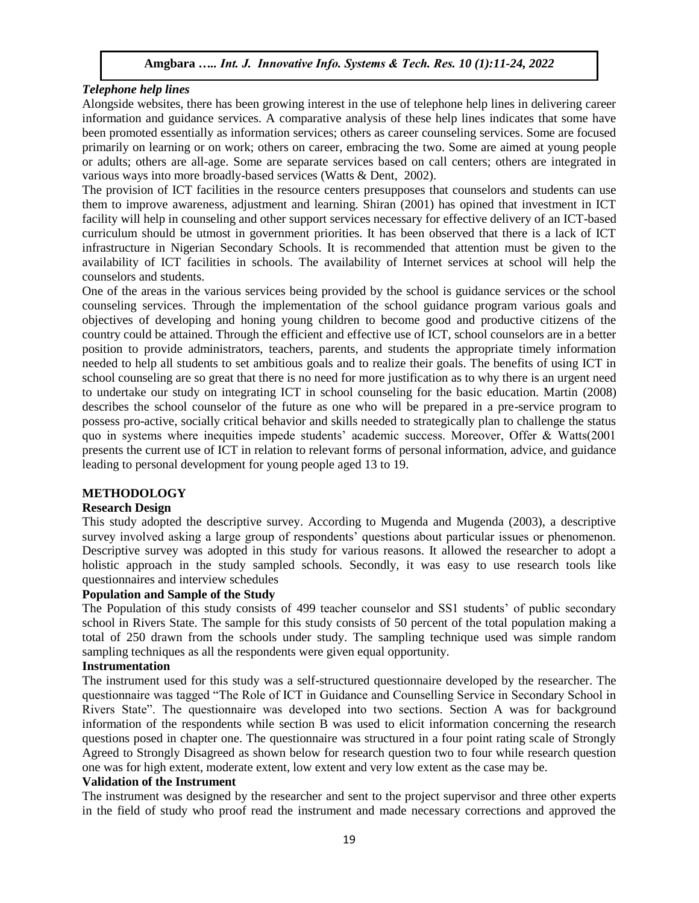## *Telephone help lines*

Alongside websites, there has been growing interest in the use of telephone help lines in delivering career information and guidance services. A comparative analysis of these help lines indicates that some have been promoted essentially as information services; others as career counseling services. Some are focused primarily on learning or on work; others on career, embracing the two. Some are aimed at young people or adults; others are all-age. Some are separate services based on call centers; others are integrated in various ways into more broadly-based services (Watts & Dent, 2002).

The provision of ICT facilities in the resource centers presupposes that counselors and students can use them to improve awareness, adjustment and learning. Shiran (2001) has opined that investment in ICT facility will help in counseling and other support services necessary for effective delivery of an ICT-based curriculum should be utmost in government priorities. It has been observed that there is a lack of ICT infrastructure in Nigerian Secondary Schools. It is recommended that attention must be given to the availability of ICT facilities in schools. The availability of Internet services at school will help the counselors and students.

One of the areas in the various services being provided by the school is guidance services or the school counseling services. Through the implementation of the school guidance program various goals and objectives of developing and honing young children to become good and productive citizens of the country could be attained. Through the efficient and effective use of ICT, school counselors are in a better position to provide administrators, teachers, parents, and students the appropriate timely information needed to help all students to set ambitious goals and to realize their goals. The benefits of using ICT in school counseling are so great that there is no need for more justification as to why there is an urgent need to undertake our study on integrating ICT in school counseling for the basic education. Martin (2008) describes the school counselor of the future as one who will be prepared in a pre-service program to possess pro-active, socially critical behavior and skills needed to strategically plan to challenge the status quo in systems where inequities impede students' academic success. Moreover, Offer & Watts(2001 presents the current use of ICT in relation to relevant forms of personal information, advice, and guidance leading to personal development for young people aged 13 to 19.

## **METHODOLOGY**

## **Research Design**

This study adopted the descriptive survey. According to Mugenda and Mugenda (2003), a descriptive survey involved asking a large group of respondents' questions about particular issues or phenomenon. Descriptive survey was adopted in this study for various reasons. It allowed the researcher to adopt a holistic approach in the study sampled schools. Secondly, it was easy to use research tools like questionnaires and interview schedules

#### **Population and Sample of the Study**

The Population of this study consists of 499 teacher counselor and SS1 students' of public secondary school in Rivers State. The sample for this study consists of 50 percent of the total population making a total of 250 drawn from the schools under study. The sampling technique used was simple random sampling techniques as all the respondents were given equal opportunity.

#### **Instrumentation**

The instrument used for this study was a self-structured questionnaire developed by the researcher. The questionnaire was tagged "The Role of ICT in Guidance and Counselling Service in Secondary School in Rivers State". The questionnaire was developed into two sections. Section A was for background information of the respondents while section B was used to elicit information concerning the research questions posed in chapter one. The questionnaire was structured in a four point rating scale of Strongly Agreed to Strongly Disagreed as shown below for research question two to four while research question one was for high extent, moderate extent, low extent and very low extent as the case may be.

## **Validation of the Instrument**

The instrument was designed by the researcher and sent to the project supervisor and three other experts in the field of study who proof read the instrument and made necessary corrections and approved the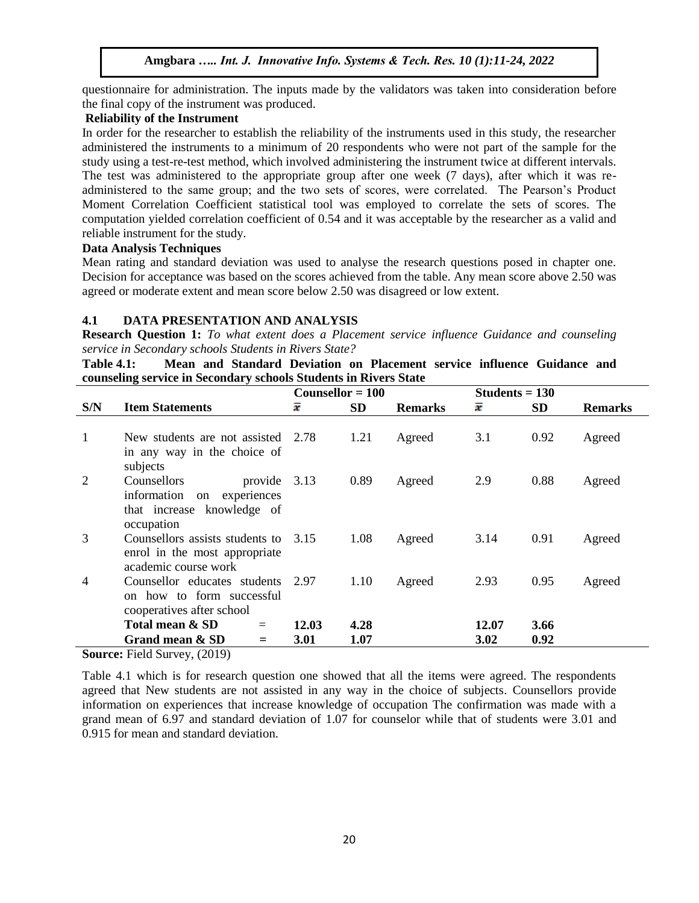questionnaire for administration. The inputs made by the validators was taken into consideration before the final copy of the instrument was produced.

## **Reliability of the Instrument**

In order for the researcher to establish the reliability of the instruments used in this study, the researcher administered the instruments to a minimum of 20 respondents who were not part of the sample for the study using a test-re-test method, which involved administering the instrument twice at different intervals. The test was administered to the appropriate group after one week (7 days), after which it was readministered to the same group; and the two sets of scores, were correlated. The Pearson's Product Moment Correlation Coefficient statistical tool was employed to correlate the sets of scores. The computation yielded correlation coefficient of 0.54 and it was acceptable by the researcher as a valid and reliable instrument for the study.

# **Data Analysis Techniques**

Mean rating and standard deviation was used to analyse the research questions posed in chapter one. Decision for acceptance was based on the scores achieved from the table. Any mean score above 2.50 was agreed or moderate extent and mean score below 2.50 was disagreed or low extent.

# **4.1 DATA PRESENTATION AND ANALYSIS**

**Research Question 1:** *To what extent does a Placement service influence Guidance and counseling service in Secondary schools Students in Rivers State?*

**Table 4.1: Mean and Standard Deviation on Placement service influence Guidance and counseling service in Secondary schools Students in Rivers State**

|     |                                          | Counsellor = $100$ |           |                | Students $= 130$ |           |                |
|-----|------------------------------------------|--------------------|-----------|----------------|------------------|-----------|----------------|
| S/N | <b>Item Statements</b>                   | x                  | <b>SD</b> | <b>Remarks</b> | x                | <b>SD</b> | <b>Remarks</b> |
|     |                                          |                    |           |                |                  |           |                |
| 1   | New students are not assisted 2.78       |                    | 1.21      | Agreed         | 3.1              | 0.92      | Agreed         |
|     | in any way in the choice of<br>subjects  |                    |           |                |                  |           |                |
| 2   | Counsellors<br>provide 3.13              |                    | 0.89      | Agreed         | 2.9              | 0.88      | Agreed         |
|     | information on experiences               |                    |           |                |                  |           |                |
|     | that increase knowledge of<br>occupation |                    |           |                |                  |           |                |
| 3   | Counsellors assists students to          | 3.15               | 1.08      | Agreed         | 3.14             | 0.91      | Agreed         |
|     | enrol in the most appropriate            |                    |           |                |                  |           |                |
|     | academic course work                     |                    |           |                |                  |           |                |
| 4   | Counsellor educates students             |                    | 1.10      | Agreed         | 2.93             | 0.95      | Agreed         |
|     | on how to form successful                |                    |           |                |                  |           |                |
|     | cooperatives after school                |                    |           |                |                  |           |                |
|     | Total mean & SD<br>$=$                   | 12.03              | 4.28      |                | 12.07            | 3.66      |                |
|     | Grand mean & SD<br>$=$                   | 3.01               | 1.07      |                | 3.02             | 0.92      |                |
|     |                                          |                    |           |                |                  |           |                |

**Source:** Field Survey, (2019)

Table 4.1 which is for research question one showed that all the items were agreed. The respondents agreed that New students are not assisted in any way in the choice of subjects. Counsellors provide information on experiences that increase knowledge of occupation The confirmation was made with a grand mean of 6.97 and standard deviation of 1.07 for counselor while that of students were 3.01 and 0.915 for mean and standard deviation.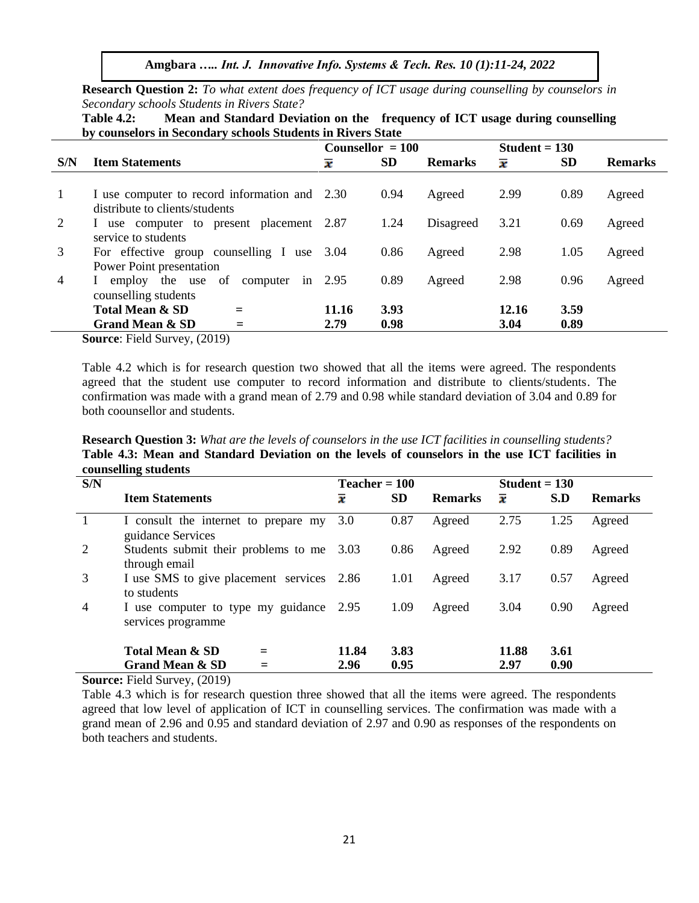**Amgbara** *….. Int. J. Innovative Info. Systems & Tech. Res. 10 (1):11-24, 2022*

**Research Question 2:** *To what extent does frequency of ICT usage during counselling by counselors in Secondary schools Students in Rivers State?*

| <b>Table 4.2:</b>                                           |  | Mean and Standard Deviation on the frequency of ICT usage during counselling |  |  |  |  |
|-------------------------------------------------------------|--|------------------------------------------------------------------------------|--|--|--|--|
| by counselors in Secondary schools Students in Rivers State |  |                                                                              |  |  |  |  |

|                |                                                                             | Counsellor $= 100$  |           |                | Student $= 130$     |           |                |
|----------------|-----------------------------------------------------------------------------|---------------------|-----------|----------------|---------------------|-----------|----------------|
| S/N            | <b>Item Statements</b>                                                      | $\overline{\bm{x}}$ | <b>SD</b> | <b>Remarks</b> | $\overline{\bm{x}}$ | <b>SD</b> | <b>Remarks</b> |
|                |                                                                             |                     |           |                |                     |           |                |
|                | I use computer to record information and 2.30                               |                     | 0.94      | Agreed         | 2.99                | 0.89      | Agreed         |
|                | distribute to clients/students                                              |                     |           |                |                     |           |                |
| 2              | I use computer to present placement 2.87                                    |                     | 1.24      | Disagreed      | 3.21                | 0.69      | Agreed         |
|                | service to students                                                         |                     |           |                |                     |           |                |
| 3              | For effective group counselling I use 3.04                                  |                     | 0.86      | Agreed         | 2.98                | 1.05      | Agreed         |
|                | Power Point presentation                                                    |                     |           |                |                     |           |                |
| $\overline{4}$ | employ the use of<br>computer                                               | in $2.95$           | 0.89      | Agreed         | 2.98                | 0.96      | Agreed         |
|                | counselling students                                                        |                     |           |                |                     |           |                |
|                | <b>Total Mean &amp; SD</b>                                                  | 11.16               | 3.93      |                | 12.16               | 3.59      |                |
|                | <b>Grand Mean &amp; SD</b><br>$\sim$ $\sim$ $\sim$ $\sim$ $\sim$<br>_______ | 2.79                | 0.98      |                | 3.04                | 0.89      |                |

**Source**: Field Survey, (2019)

Table 4.2 which is for research question two showed that all the items were agreed. The respondents agreed that the student use computer to record information and distribute to clients/students. The confirmation was made with a grand mean of 2.79 and 0.98 while standard deviation of 3.04 and 0.89 for both coounsellor and students.

**Research Question 3:** *What are the levels of counselors in the use ICT facilities in counselling students?*  **Table 4.3: Mean and Standard Deviation on the levels of counselors in the use ICT facilities in counselling students**

|                | countenant practice                                           |                 |           |                |                 |      |                |  |  |
|----------------|---------------------------------------------------------------|-----------------|-----------|----------------|-----------------|------|----------------|--|--|
| S/N            |                                                               | $Teacher = 100$ |           |                | Student $= 130$ |      |                |  |  |
|                | <b>Item Statements</b>                                        | x               | <b>SD</b> | <b>Remarks</b> | x               | S.D  | <b>Remarks</b> |  |  |
|                | I consult the internet to prepare my<br>guidance Services     | 3.0             | 0.87      | Agreed         | 2.75            | 1.25 | Agreed         |  |  |
| 2              | Students submit their problems to me 3.03<br>through email    |                 | 0.86      | Agreed         | 2.92            | 0.89 | Agreed         |  |  |
| 3              | I use SMS to give placement services 2.86<br>to students      |                 | 1.01      | Agreed         | 3.17            | 0.57 | Agreed         |  |  |
| $\overline{4}$ | I use computer to type my guidance 2.95<br>services programme |                 | 1.09      | Agreed         | 3.04            | 0.90 | Agreed         |  |  |
|                | <b>Total Mean &amp; SD</b>                                    | 11.84           | 3.83      |                | 11.88           | 3.61 |                |  |  |
|                | <b>Grand Mean &amp; SD</b>                                    | 2.96            | 0.95      |                | 2.97            | 0.90 |                |  |  |

**Source:** Field Survey, (2019)

Table 4.3 which is for research question three showed that all the items were agreed. The respondents agreed that low level of application of ICT in counselling services. The confirmation was made with a grand mean of 2.96 and 0.95 and standard deviation of 2.97 and 0.90 as responses of the respondents on both teachers and students.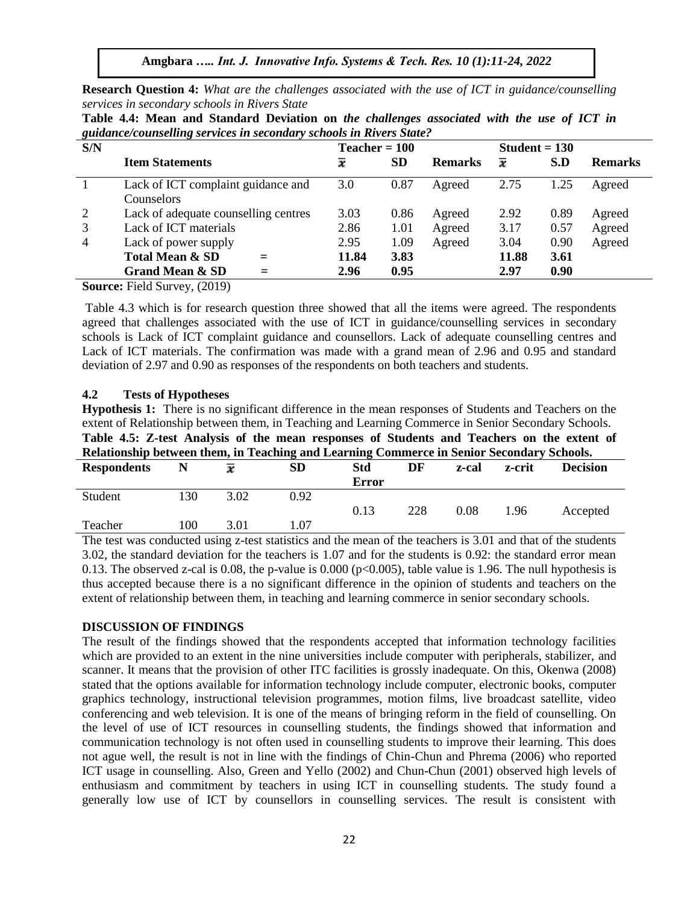**Amgbara** *….. Int. J. Innovative Info. Systems & Tech. Res. 10 (1):11-24, 2022*

**Research Question 4:** *What are the challenges associated with the use of ICT in guidance/counselling services in secondary schools in Rivers State*

| $\tilde{\phantom{a}}$<br>S/N |                                      | $Teacher = 100$             |           |                | $Student = 130$     |      |                |
|------------------------------|--------------------------------------|-----------------------------|-----------|----------------|---------------------|------|----------------|
|                              | <b>Item Statements</b>               | $\overline{\boldsymbol{x}}$ | <b>SD</b> | <b>Remarks</b> | $\overline{\bm{x}}$ | S.D  | <b>Remarks</b> |
|                              | Lack of ICT complaint guidance and   | 3.0                         | 0.87      | Agreed         | 2.75                | 1.25 | Agreed         |
|                              | <b>Counselors</b>                    |                             |           |                |                     |      |                |
| 2                            | Lack of adequate counselling centres | 3.03                        | 0.86      | Agreed         | 2.92                | 0.89 | Agreed         |
| 3                            | Lack of ICT materials                | 2.86                        | 1.01      | Agreed         | 3.17                | 0.57 | Agreed         |
| 4                            | Lack of power supply                 | 2.95                        | 1.09      | Agreed         | 3.04                | 0.90 | Agreed         |
|                              | <b>Total Mean &amp; SD</b><br>$=$    | 11.84                       | 3.83      |                | 11.88               | 3.61 |                |
|                              | <b>Grand Mean &amp; SD</b><br>$=$    | 2.96                        | 0.95      |                | 2.97                | 0.90 |                |

**Table 4.4: Mean and Standard Deviation on** *the challenges associated with the use of ICT in guidance/counselling services in secondary schools in Rivers State?*

**Source:** Field Survey, (2019)

Table 4.3 which is for research question three showed that all the items were agreed. The respondents agreed that challenges associated with the use of ICT in guidance/counselling services in secondary schools is Lack of ICT complaint guidance and counsellors. Lack of adequate counselling centres and Lack of ICT materials. The confirmation was made with a grand mean of 2.96 and 0.95 and standard deviation of 2.97 and 0.90 as responses of the respondents on both teachers and students.

#### **4.2 Tests of Hypotheses**

**Hypothesis 1:** There is no significant difference in the mean responses of Students and Teachers on the extent of Relationship between them, in Teaching and Learning Commerce in Senior Secondary Schools. **Table 4.5: Z-test Analysis of the mean responses of Students and Teachers on the extent of Relationship between them, in Teaching and Learning Commerce in Senior Secondary Schools.** 

| <b>Respondents</b> | N    |      | <b>SD</b> | <b>Std</b><br><b>Error</b> | DF                   | z-cal                  | z-crit   | <b>Decision</b>      |  |
|--------------------|------|------|-----------|----------------------------|----------------------|------------------------|----------|----------------------|--|
| Student            | 30   | 3.02 | 0.92      |                            |                      |                        |          |                      |  |
|                    |      |      |           |                            |                      |                        |          |                      |  |
|                    |      |      |           | 0.13                       | 228                  | 0.08                   | 1.96     | Accepted             |  |
| Teacher            | l 00 | 3.01 | 0.07      |                            |                      |                        |          |                      |  |
| $\sim$             |      |      |           | $\sim$                     | $\sim$ $\sim$ $\sim$ | $\cdot$ $\sim$ $\cdot$ | $\cdots$ | $\sim$ $\sim$ $\sim$ |  |

The test was conducted using z-test statistics and the mean of the teachers is 3.01 and that of the students 3.02, the standard deviation for the teachers is 1.07 and for the students is 0.92: the standard error mean 0.13. The observed z-cal is 0.08, the p-value is 0.000 ( $p<0.005$ ), table value is 1.96. The null hypothesis is thus accepted because there is a no significant difference in the opinion of students and teachers on the extent of relationship between them, in teaching and learning commerce in senior secondary schools.

#### **DISCUSSION OF FINDINGS**

The result of the findings showed that the respondents accepted that information technology facilities which are provided to an extent in the nine universities include computer with peripherals, stabilizer, and scanner. It means that the provision of other ITC facilities is grossly inadequate. On this, Okenwa (2008) stated that the options available for information technology include computer, electronic books, computer graphics technology, instructional television programmes, motion films, live broadcast satellite, video conferencing and web television. It is one of the means of bringing reform in the field of counselling. On the level of use of ICT resources in counselling students, the findings showed that information and communication technology is not often used in counselling students to improve their learning. This does not ague well, the result is not in line with the findings of Chin-Chun and Phrema (2006) who reported ICT usage in counselling. Also, Green and Yello (2002) and Chun-Chun (2001) observed high levels of enthusiasm and commitment by teachers in using ICT in counselling students. The study found a generally low use of ICT by counsellors in counselling services. The result is consistent with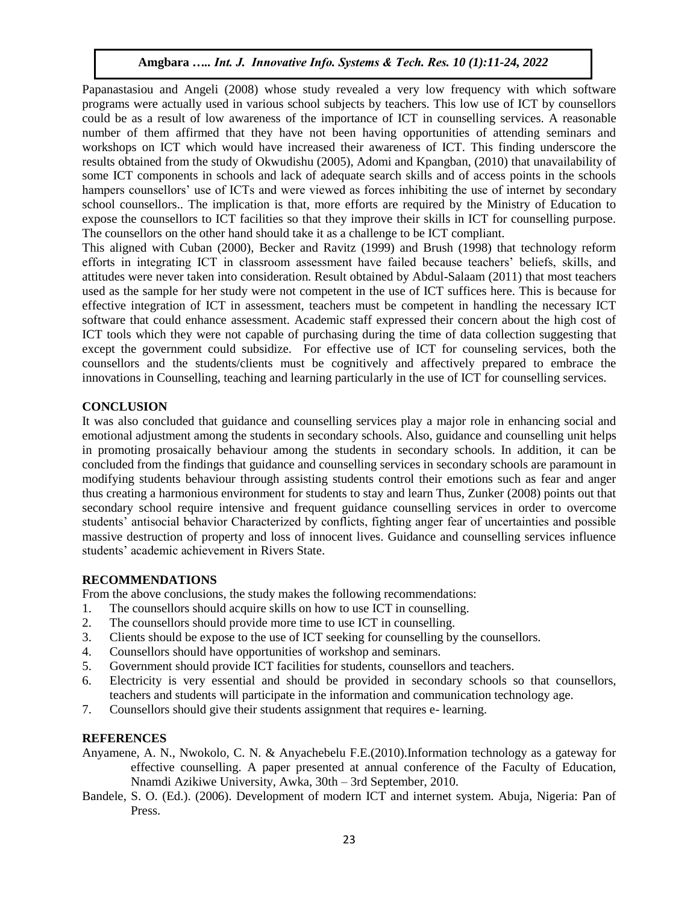Papanastasiou and Angeli (2008) whose study revealed a very low frequency with which software programs were actually used in various school subjects by teachers. This low use of ICT by counsellors could be as a result of low awareness of the importance of ICT in counselling services. A reasonable number of them affirmed that they have not been having opportunities of attending seminars and workshops on ICT which would have increased their awareness of ICT. This finding underscore the results obtained from the study of Okwudishu (2005), Adomi and Kpangban, (2010) that unavailability of some ICT components in schools and lack of adequate search skills and of access points in the schools hampers counsellors' use of ICTs and were viewed as forces inhibiting the use of internet by secondary school counsellors.. The implication is that, more efforts are required by the Ministry of Education to expose the counsellors to ICT facilities so that they improve their skills in ICT for counselling purpose. The counsellors on the other hand should take it as a challenge to be ICT compliant.

This aligned with Cuban (2000), Becker and Ravitz (1999) and Brush (1998) that technology reform efforts in integrating ICT in classroom assessment have failed because teachers' beliefs, skills, and attitudes were never taken into consideration. Result obtained by Abdul-Salaam (2011) that most teachers used as the sample for her study were not competent in the use of ICT suffices here. This is because for effective integration of ICT in assessment, teachers must be competent in handling the necessary ICT software that could enhance assessment. Academic staff expressed their concern about the high cost of ICT tools which they were not capable of purchasing during the time of data collection suggesting that except the government could subsidize. For effective use of ICT for counseling services, both the counsellors and the students/clients must be cognitively and affectively prepared to embrace the innovations in Counselling, teaching and learning particularly in the use of ICT for counselling services.

## **CONCLUSION**

It was also concluded that guidance and counselling services play a major role in enhancing social and emotional adjustment among the students in secondary schools. Also, guidance and counselling unit helps in promoting prosaically behaviour among the students in secondary schools. In addition, it can be concluded from the findings that guidance and counselling services in secondary schools are paramount in modifying students behaviour through assisting students control their emotions such as fear and anger thus creating a harmonious environment for students to stay and learn Thus, Zunker (2008) points out that secondary school require intensive and frequent guidance counselling services in order to overcome students' antisocial behavior Characterized by conflicts, fighting anger fear of uncertainties and possible massive destruction of property and loss of innocent lives. Guidance and counselling services influence students' academic achievement in Rivers State.

#### **RECOMMENDATIONS**

From the above conclusions, the study makes the following recommendations:

- 1. The counsellors should acquire skills on how to use ICT in counselling.
- 2. The counsellors should provide more time to use ICT in counselling.
- 3. Clients should be expose to the use of ICT seeking for counselling by the counsellors.
- 4. Counsellors should have opportunities of workshop and seminars.
- 5. Government should provide ICT facilities for students, counsellors and teachers.
- 6. Electricity is very essential and should be provided in secondary schools so that counsellors, teachers and students will participate in the information and communication technology age.
- 7. Counsellors should give their students assignment that requires e- learning.

#### **REFERENCES**

- Anyamene, A. N., Nwokolo, C. N. & Anyachebelu F.E.(2010).Information technology as a gateway for effective counselling. A paper presented at annual conference of the Faculty of Education, Nnamdi Azikiwe University, Awka, 30th – 3rd September, 2010.
- Bandele, S. O. (Ed.). (2006). Development of modern ICT and internet system. Abuja, Nigeria: Pan of Press.